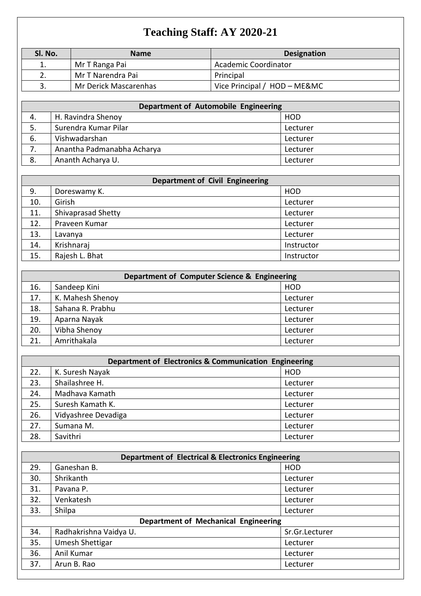## **Teaching Staff: AY 2020-21**

| Sl. No.  | <b>Name</b>           | <b>Designation</b>           |
|----------|-----------------------|------------------------------|
| ī.       | Mr T Ranga Pai        | Academic Coordinator         |
| ,        | Mr T Narendra Pai     | Principal                    |
| <u>.</u> | Mr Derick Mascarenhas | Vice Principal / HOD - ME&MC |

| Department of Automobile Engineering |                            |            |
|--------------------------------------|----------------------------|------------|
| 4.                                   | H. Ravindra Shenoy         | <b>HOD</b> |
| 5.                                   | Surendra Kumar Pilar       | Lecturer   |
| 6.                                   | Vishwadarshan              | Lecturer   |
|                                      | Anantha Padmanabha Acharya | Lecturer   |
| 8.                                   | Ananth Acharya U.          | Lecturer   |

| Department of Civil Engineering |                    |            |
|---------------------------------|--------------------|------------|
| 9.                              | Doreswamy K.       | <b>HOD</b> |
| 10.                             | Girish             | Lecturer   |
| 11.                             | Shivaprasad Shetty | Lecturer   |
| 12.                             | Praveen Kumar      | Lecturer   |
| 13.                             | Lavanya            | Lecturer   |
| 14.                             | Krishnaraj         | Instructor |
| 15.                             | Rajesh L. Bhat     | Instructor |

| Department of Computer Science & Engineering |                  |            |
|----------------------------------------------|------------------|------------|
| 16.                                          | Sandeep Kini     | <b>HOD</b> |
| 17.                                          | K. Mahesh Shenoy | Lecturer   |
| 18.                                          | Sahana R. Prabhu | Lecturer   |
| 19.                                          | Aparna Nayak     | Lecturer   |
| 20.                                          | Vibha Shenoy     | Lecturer   |
| 21.                                          | Amrithakala      | Lecturer   |

| Department of Electronics & Communication Engineering |                     |            |
|-------------------------------------------------------|---------------------|------------|
| 22.                                                   | K. Suresh Nayak     | <b>HOD</b> |
| 23.                                                   | Shailashree H.      | Lecturer   |
| 24.                                                   | Madhava Kamath      | Lecturer   |
| 25.                                                   | Suresh Kamath K.    | Lecturer   |
| 26.                                                   | Vidyashree Devadiga | Lecturer   |
| 27.                                                   | Sumana M.           | Lecturer   |
| 28.                                                   | Savithri            | Lecturer   |

| <b>Department of Electrical &amp; Electronics Engineering</b> |                                      |                |
|---------------------------------------------------------------|--------------------------------------|----------------|
| 29.                                                           | Ganeshan B.                          | <b>HOD</b>     |
| 30.                                                           | Shrikanth                            | Lecturer       |
| 31.                                                           | Pavana P.                            | Lecturer       |
| 32.                                                           | Venkatesh                            | Lecturer       |
| 33.                                                           | Shilpa                               | Lecturer       |
|                                                               | Department of Mechanical Engineering |                |
| 34.                                                           | Radhakrishna Vaidya U.               | Sr.Gr.Lecturer |
| 35.                                                           | Umesh Shettigar                      | Lecturer       |
| 36.                                                           | Anil Kumar                           | Lecturer       |
| 37.                                                           | Arun B. Rao                          | Lecturer       |